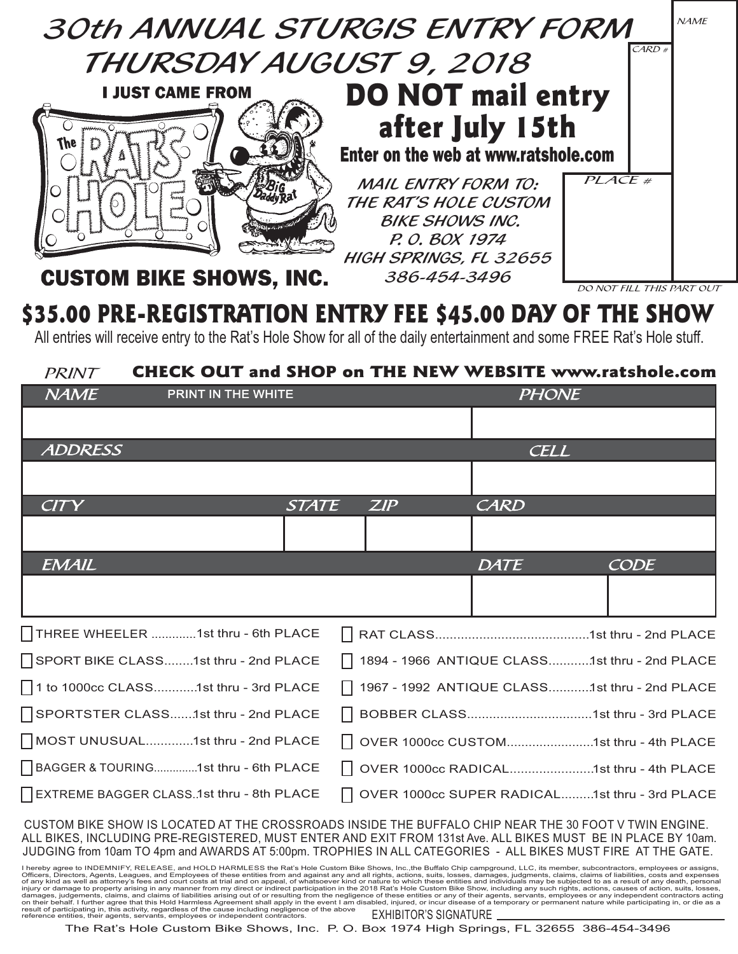

## \$35.00 PRE-REGISTRATION ENTRY FEE \$45.00 DAY OF THE SHOW

All entries will receive entry to the Rat's Hole Show for all of the daily entertainment and some FREE Rat's Hole stuff.

## PRINT CHECK OUT and SHOP on THE NEW WEBSITE www.ratshole.com  $N\!A\!M\!E$  PRINT IN THE WHITE  $P\!H\!O\!N\!E$ **CELL** ZIP **CODE** STATE ZIP CARD **DATE** ADDRESS **CITY EMAIL** l THREE WHEELER ............. 1st thru - 6th PLACE 1st thru - 2nd PLACE | 1894 - 1966 ANTIQUE CLASS............1st thru - 2nd PLACE 1967 - 1992 ANTIQUE CLASS............ 1st thru - 2nd PLACE SPORT BIKE CLASS........1st thru - 2nd PLACE 1 to 1000cc CLASS............ 1st thru - 3rd PLACE  $\Box$  SPORTSTER CLASS........1st thru - 2nd PLACE RAT CLASS.......................................... 1st thru - 2nd PLACE MOST UNUSUAL............. 1st thru - 2nd PLACE BAGGER & TOURING.............. 1st thru - 6th PLACE EXTREME BAGGER CLASS.. 1st thru - 8th PLACE OVER 1000cc RADICAL....................... 1st thru - 4th PLACE OVER 1000cc SUPER RADICAL......... 1st thru - 3rd PLACEOVER 1000cc CUSTOM........................ 1st thru - 4th PLACE 1st thru - 2nd PLACE 1st thru - 3rd PLACE

CUSTOM BIKE SHOW IS LOCATED AT THE CROSSROADS INSIDE THE BUFFALO CHIP NEAR THE 30 FOOT V TWIN ENGINE. ALL BIKES, INCLUDING PRE-REGISTERED, MUST ENTER AND EXIT FROM 131st Ave. ALL BIKES MUST BE IN PLACE BY 10am. JUDGING from 10am TO 4pm and AWARDS AT 5:00pm. TROPHIES IN ALL CATEGORIES - ALL BIKES MUST FIRE AT THE GATE.

EXHIBITOR'S SIGNATURE l hereby agree to INDEMNIFY, RELEASE, and HOLD HARMLESS the Rat's Hole Custom Bike Shows, Inc.,the Buffalo Chip campground, LLC, its member, subcontractors, employees or assigns,<br>Officers, Directors, Agents, Leagues, and E of any kind as well as attorney's fees and court costs at trial and on appeal, of whatsoever kind or nature to which these entities and individuals may be subjected to as a result of any death, personal injury or damages,

The Rat's Hole Custom Bike Shows, Inc. P. O. Box 1974 High Springs, FL 32655 386-454-3496